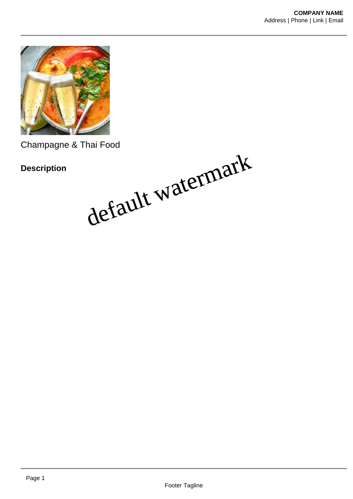

Champagne & Thai Food

**Description**

default watermark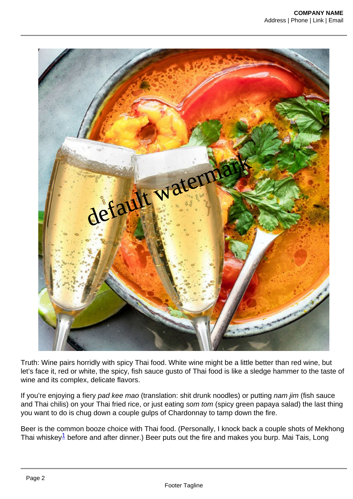default watermark

Truth: Wine pairs horridly with spicy Thai food. White wine might be a little better than red wine, but let's face it, red or white, the spicy, fish sauce gusto of Thai food is like a sledge hammer to the taste of wine and its complex, delicate flavors.

If you're enjoying a fiery pad kee mao (translation: shit drunk noodles) or putting nam jim (fish sauce and Thai chilis) on your Thai fried rice, or just eating som tom (spicy green papaya salad) the last thing you want to do is chug down a couple gulps of Chardonnay to tamp down the fire.

Beer is the common booze choice with Thai food. (Personally, I knock back a couple shots of Mekhong Thai whiskey<sup>1</sup> before and after dinner.) Beer puts out the fire and makes you burp. Mai Tais, Long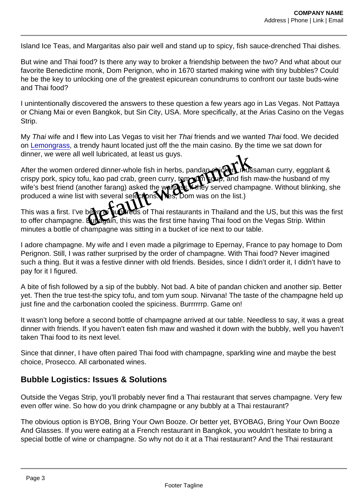Island Ice Teas, and Margaritas also pair well and stand up to spicy, fish sauce-drenched Thai dishes.

But wine and Thai food? Is there any way to broker a friendship between the two? And what about our favorite Benedictine monk, Dom Perignon, who in 1670 started making wine with tiny bubbles? Could he be the key to unlocking one of the greatest epicurean conundrums to confront our taste buds-wine and Thai food?

I unintentionally discovered the answers to these question a few years ago in Las Vegas. Not Pattaya or Chiang Mai or even Bangkok, but Sin City, USA. More specifically, at the Arias Casino on the Vegas Strip.

My Thai wife and I flew into Las Vegas to visit her Thai friends and we wanted Thai food. We decided on [Lemongrass,](https://aria.mgmresorts.com/en/restaurants/lemongrass.html) a trendy haunt located just off the the main casino. By the time we sat down for dinner, we were all well lubricated, at least us guys.

After the women ordered dinner-whole fish in herbs, pandan curry, ends saman curry, eggplant & crispy pork, spicy tofu, kao pad crab, green curry, tom yum soup, and fish maw-the husband of my wife's best friend (another farang) asked the wait result they served champagne. Without blinking, she produced a wine list with several selectors. (Nes, Dom was on the list.) well lubricated, at least us guys.<br>
ered dinner-whole fish in herbs, pandancy in the state same in the main easing. By the time<br>
in the dinner-whole fish in herbs, pandancy in the state same<br>
in the particular of the will

This was a first. I've been to hundreds of Thai restaurants in Thailand and the US, but this was the first to offer champagne. But again, this was the first time having Thai food on the Vegas Strip. Within minutes a bottle of champagne was sitting in a bucket of ice next to our table.

I adore champagne. My wife and I even made a pilgrimage to Epernay, France to pay homage to Dom Perignon. Still, I was rather surprised by the order of champagne. With Thai food? Never imagined such a thing. But it was a festive dinner with old friends. Besides, since I didn't order it, I didn't have to pay for it I figured.

A bite of fish followed by a sip of the bubbly. Not bad. A bite of pandan chicken and another sip. Better yet. Then the true test-the spicy tofu, and tom yum soup. Nirvana! The taste of the champagne held up just fine and the carbonation cooled the spiciness. Burrrrrrp. Game on!

It wasn't long before a second bottle of champagne arrived at our table. Needless to say, it was a great dinner with friends. If you haven't eaten fish maw and washed it down with the bubbly, well you haven't taken Thai food to its next level.

Since that dinner, I have often paired Thai food with champagne, sparkling wine and maybe the best choice, Prosecco. All carbonated wines.

## Bubble Logistics: Issues & Solutions

Outside the Vegas Strip, you'll probably never find a Thai restaurant that serves champagne. Very few even offer wine. So how do you drink champagne or any bubbly at a Thai restaurant?

The obvious option is BYOB, Bring Your Own Booze. Or better yet, BYOBAG, Bring Your Own Booze And Glasses. If you were eating at a French restaurant in Bangkok, you wouldn't hesitate to bring a special bottle of wine or champagne. So why not do it at a Thai restaurant? And the Thai restaurant